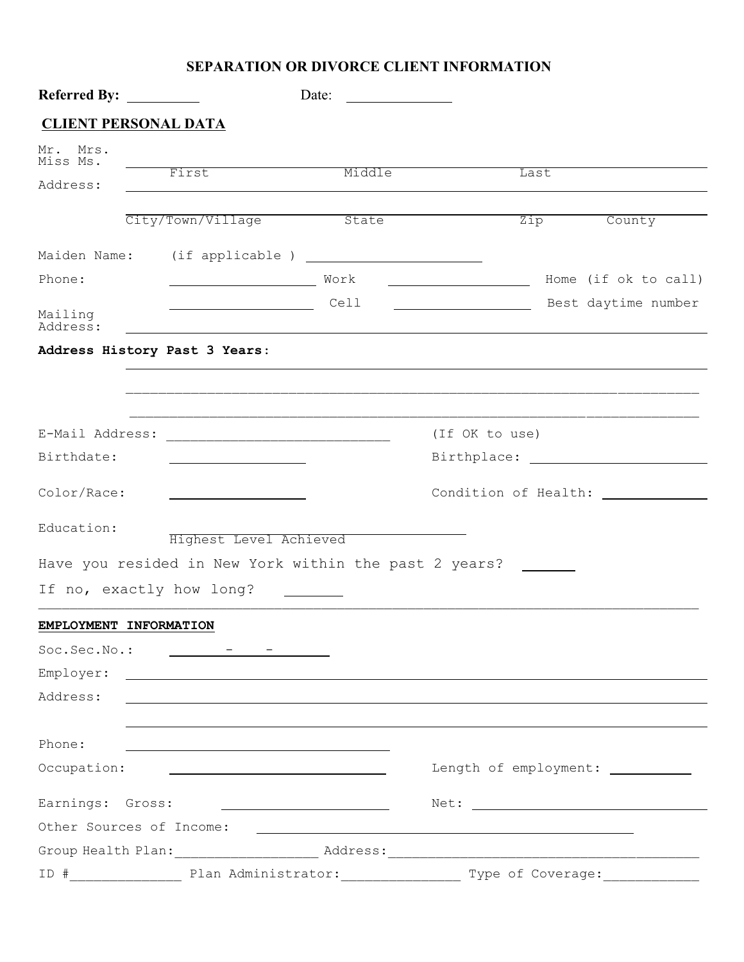## **SEPARATION OR DIVORCE CLIENT INFORMATION**

| <b>Referred By:</b>           |                                                                                  | Date:  |                                                               |      |                                                                                                                                                                                                                                |
|-------------------------------|----------------------------------------------------------------------------------|--------|---------------------------------------------------------------|------|--------------------------------------------------------------------------------------------------------------------------------------------------------------------------------------------------------------------------------|
| <b>CLIENT PERSONAL DATA</b>   |                                                                                  |        |                                                               |      |                                                                                                                                                                                                                                |
| Mr.<br>Mrs.<br>Miss Ms.       |                                                                                  |        |                                                               |      |                                                                                                                                                                                                                                |
| Address:                      | First                                                                            | Middle |                                                               | Last |                                                                                                                                                                                                                                |
|                               |                                                                                  |        |                                                               |      |                                                                                                                                                                                                                                |
|                               | City/Town/Village                                                                | State  |                                                               | Zip  | County                                                                                                                                                                                                                         |
|                               |                                                                                  |        |                                                               |      |                                                                                                                                                                                                                                |
| Phone:                        | Work Work                                                                        |        |                                                               |      | Home (if ok to call)                                                                                                                                                                                                           |
| Mailing<br>Address:           | <u>Cell Cell Cell</u><br><u> 1980 - Johann Barbara, martin amerikan basal da</u> |        |                                                               |      | Best daytime number                                                                                                                                                                                                            |
| Address History Past 3 Years: |                                                                                  |        |                                                               |      |                                                                                                                                                                                                                                |
|                               |                                                                                  |        |                                                               |      |                                                                                                                                                                                                                                |
|                               |                                                                                  |        | (If OK to use)                                                |      |                                                                                                                                                                                                                                |
| Birthdate:                    |                                                                                  |        |                                                               |      | Birthplace: The contract of the contract of the contract of the contract of the contract of the contract of the contract of the contract of the contract of the contract of the contract of the contract of the contract of th |
| Color/Race:                   | <u> 1989 - Johann Barbara, martin a</u>                                          |        |                                                               |      |                                                                                                                                                                                                                                |
| Education:                    | Highest Level Achieved                                                           |        |                                                               |      |                                                                                                                                                                                                                                |
|                               | Have you resided in New York within the past 2 years?                            |        |                                                               |      |                                                                                                                                                                                                                                |
| If no, exactly how long?      |                                                                                  |        |                                                               |      |                                                                                                                                                                                                                                |
| EMPLOYMENT INFORMATION        |                                                                                  |        |                                                               |      |                                                                                                                                                                                                                                |
|                               | $Soc.Sec.No.:$ $--- 7 - 7$                                                       |        |                                                               |      |                                                                                                                                                                                                                                |
|                               |                                                                                  |        |                                                               |      |                                                                                                                                                                                                                                |
| Address:                      |                                                                                  |        |                                                               |      |                                                                                                                                                                                                                                |
|                               |                                                                                  |        |                                                               |      |                                                                                                                                                                                                                                |
| Phone:                        | <u> 1980 - Johann Barbara, martxa alemaniar amerikan a</u>                       |        |                                                               |      |                                                                                                                                                                                                                                |
| Occupation:                   |                                                                                  |        |                                                               |      |                                                                                                                                                                                                                                |
| Earnings: Gross:              | <u> 1989 - John Stein, Amerikaansk politiker (</u>                               |        |                                                               |      |                                                                                                                                                                                                                                |
| Other Sources of Income:      |                                                                                  |        | <u> 1989 - Johann Stein, mars an deutscher Stein († 1989)</u> |      |                                                                                                                                                                                                                                |
|                               |                                                                                  |        |                                                               |      |                                                                                                                                                                                                                                |
|                               |                                                                                  |        |                                                               |      |                                                                                                                                                                                                                                |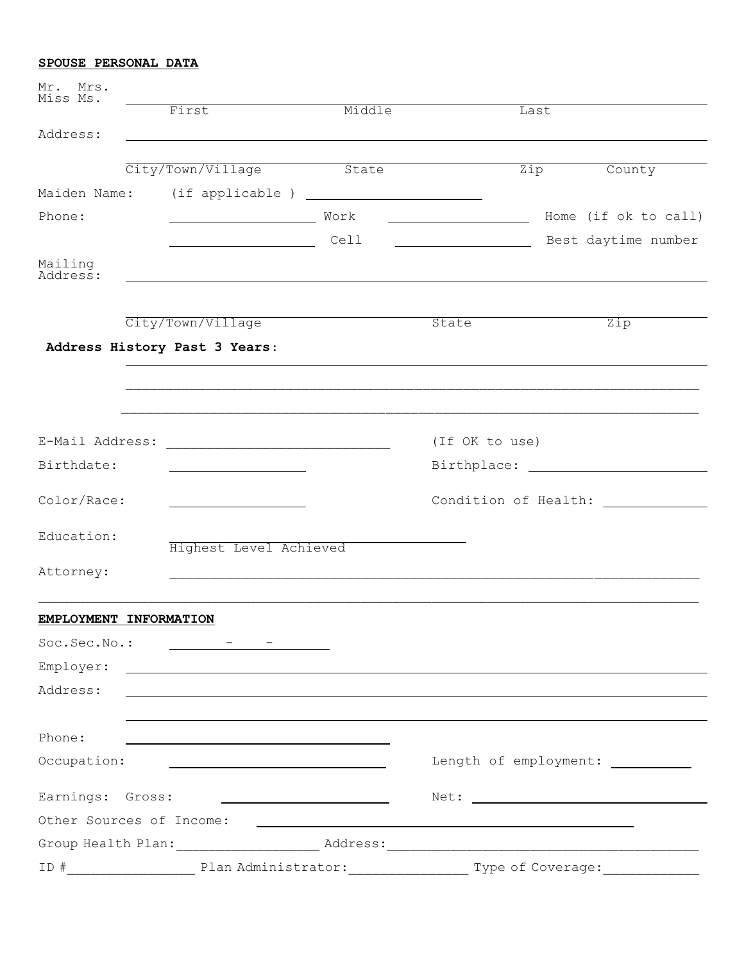## **SPOUSE PERSONAL DATA**

| Mr. Mrs.<br>Miss Ms.     |                                                                                                                                                                                                                                      |             |                |                                   |  |
|--------------------------|--------------------------------------------------------------------------------------------------------------------------------------------------------------------------------------------------------------------------------------|-------------|----------------|-----------------------------------|--|
|                          | First                                                                                                                                                                                                                                | Middle      | Last           |                                   |  |
| Address:                 | <u> 1989 - Johann Stoff, deutscher Stoff, der Stoff, der Stoff, der Stoff, der Stoff, der Stoff, der Stoff, der S</u>                                                                                                                |             |                |                                   |  |
|                          | City/Town/Village                                                                                                                                                                                                                    | State State | Zip            | County                            |  |
| Maiden Name:             | (if applicable ) $\frac{1}{2}$ (if applicable ) $\frac{1}{2}$                                                                                                                                                                        |             |                |                                   |  |
| Phone:                   |                                                                                                                                                                                                                                      |             |                | Home (if ok to call)              |  |
|                          | <u> 1980 - Johann Barn, mars an t-Amerikaansk ferhandsk ferhandsk ferhandsk ferhandsk ferhandsk ferhandsk ferhands</u>                                                                                                               | Cell        |                | Best daytime number               |  |
| Mailing<br>Address:      |                                                                                                                                                                                                                                      |             |                |                                   |  |
|                          | City/Town/Village                                                                                                                                                                                                                    |             | State          | Zip                               |  |
|                          | Address History Past 3 Years:                                                                                                                                                                                                        |             |                |                                   |  |
|                          |                                                                                                                                                                                                                                      |             |                |                                   |  |
|                          |                                                                                                                                                                                                                                      |             |                |                                   |  |
| E-Mail Address:          |                                                                                                                                                                                                                                      |             | (If OK to use) |                                   |  |
| Birthdate:               | <u> 1980 - Jan Barnett, fransk politik (d. 1980)</u>                                                                                                                                                                                 |             |                |                                   |  |
| Color/Race:              |                                                                                                                                                                                                                                      |             |                | Condition of Health:              |  |
| Education:               | Highest Level Achieved                                                                                                                                                                                                               |             |                |                                   |  |
| Attorney:                |                                                                                                                                                                                                                                      |             |                |                                   |  |
| EMPLOYMENT INFORMATION   |                                                                                                                                                                                                                                      |             |                |                                   |  |
|                          | $Soc.Sec.No.:$ - - -                                                                                                                                                                                                                 |             |                |                                   |  |
| Employer:                | <u> 1989 - Johann Stoff, deutscher Stoffen und der Stoffen und der Stoffen und der Stoffen und der Stoffen und der</u>                                                                                                               |             |                |                                   |  |
| Address:                 | <u>and the state of the state of the state of the state of the state of the state of the state of the state of the state of the state of the state of the state of the state of the state of the state of the state of the state</u> |             |                |                                   |  |
| Phone:                   |                                                                                                                                                                                                                                      |             |                |                                   |  |
| Occupation:              | <u> 1990 - Johann Barbara, martin amerikan basal da</u>                                                                                                                                                                              |             |                | Length of employment: ___________ |  |
| Earnings: Gross:         | the contract of the contract of the contract of the contract of the contract of                                                                                                                                                      |             |                |                                   |  |
| Other Sources of Income: |                                                                                                                                                                                                                                      |             |                |                                   |  |
|                          |                                                                                                                                                                                                                                      |             |                |                                   |  |
| $ID$ $#$                 | Plan Administrator:                                                                                                                                                                                                                  |             |                | Type of Coverage:                 |  |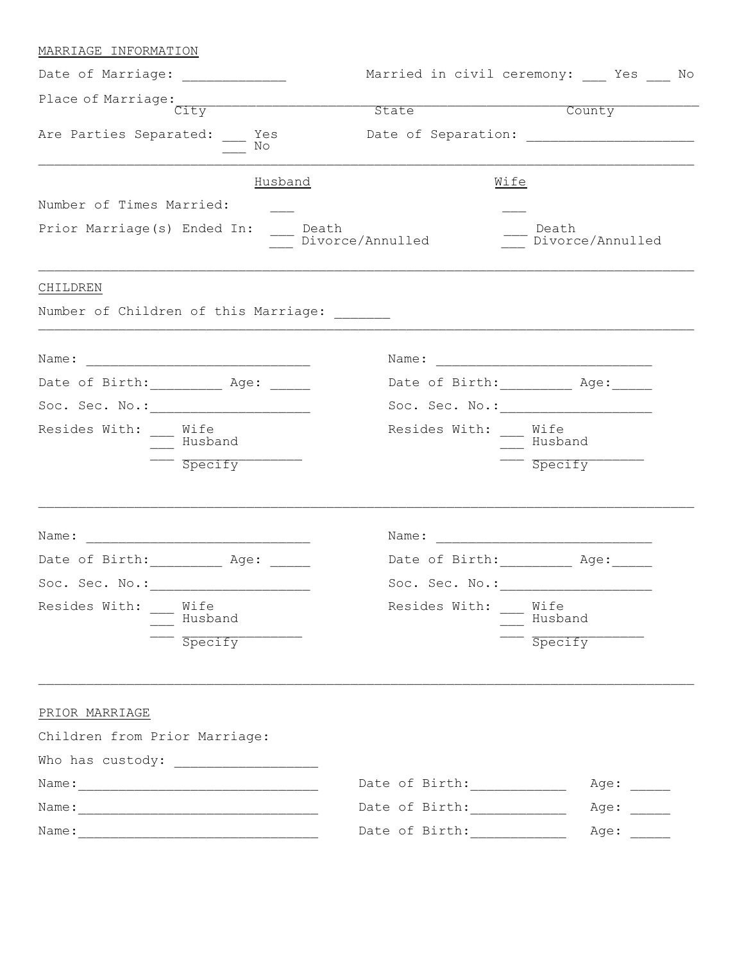| MARRIAGE INFORMATION                        |             |                  |                                       |                                         |
|---------------------------------------------|-------------|------------------|---------------------------------------|-----------------------------------------|
| Date of Marriage: _____________             |             |                  |                                       | Married in civil ceremony: __ Yes __ No |
| City<br>Are Parties Separated: __ Yes<br>No |             | State            | County                                |                                         |
|                                             |             |                  |                                       |                                         |
|                                             |             | Husband          | Wife                                  |                                         |
| Number of Times Married:                    |             |                  |                                       |                                         |
| Prior Marriage(s) Ended In:<br>Death        |             | Divorce/Annulled | Death                                 | Divorce/Annulled                        |
| CHILDREN                                    |             |                  |                                       |                                         |
| Number of Children of this Marriage:        |             |                  |                                       |                                         |
|                                             |             |                  |                                       |                                         |
| Date of Birth: ___________ Age: ______      |             |                  | Date of Birth: ___________ Age: _____ |                                         |
|                                             |             |                  |                                       |                                         |
| Resides With: Wife                          | Husband     |                  | Resides With: Wife<br>Husband         |                                         |
|                                             | $-$ Specify |                  | $-$ Specify                           |                                         |
|                                             |             |                  |                                       |                                         |
| Date of Birth: Age:                         |             |                  | Date of Birth: Age:                   |                                         |
| Soc. Sec. No.:                              |             | Soc. Sec. No.:   |                                       |                                         |
| Resides With: __ Wife                       | Husband     |                  | Resides With: __ Wife<br>Husband      |                                         |
|                                             | Spectify    |                  |                                       | Specify                                 |
| PRIOR MARRIAGE                              |             |                  |                                       |                                         |
| Children from Prior Marriage:               |             |                  |                                       |                                         |
|                                             |             |                  |                                       |                                         |
|                                             |             |                  | Date of Birth: ______________         | Age:                                    |
|                                             |             |                  | Date of Birth: __________             | Age:                                    |
|                                             |             |                  |                                       |                                         |